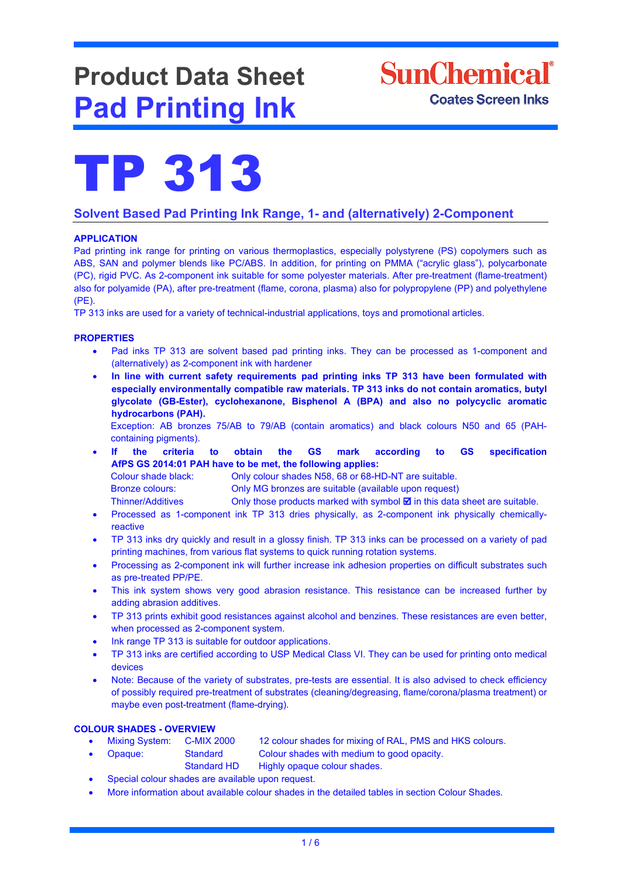# **Product Data Sheet Pad Printing Ink**





# **Solvent Based Pad Printing Ink Range, 1- and (alternatively) 2-Component**

# **APPLICATION**

Pad printing ink range for printing on various thermoplastics, especially polystyrene (PS) copolymers such as ABS, SAN and polymer blends like PC/ABS. In addition, for printing on PMMA ("acrylic glass"), polycarbonate (PC), rigid PVC. As 2-component ink suitable for some polyester materials. After pre-treatment (flame-treatment) also for polyamide (PA), after pre-treatment (flame, corona, plasma) also for polypropylene (PP) and polyethylene (PE).

TP 313 inks are used for a variety of technical-industrial applications, toys and promotional articles.

# **PROPERTIES**

- Pad inks TP 313 are solvent based pad printing inks. They can be processed as 1-component and (alternatively) as 2-component ink with hardener
- **In line with current safety requirements pad printing inks TP 313 have been formulated with especially environmentally compatible raw materials. TP 313 inks do not contain aromatics, butyl glycolate (GB-Ester), cyclohexanone, Bisphenol A (BPA) and also no polycyclic aromatic hydrocarbons (PAH).**

Exception: AB bronzes 75/AB to 79/AB (contain aromatics) and black colours N50 and 65 (PAHcontaining pigments).

• **If the criteria to obtain the GS mark according to GS specification AfPS GS 2014:01 PAH have to be met, the following applies:** 

- Colour shade black: Only colour shades N58, 68 or 68-HD-NT are suitable. Bronze colours: Only MG bronzes are suitable (available upon request)
- Thinner/Additives Only those products marked with symbol  $\boxtimes$  in this data sheet are suitable.
- Processed as 1-component ink TP 313 dries physically, as 2-component ink physically chemicallyreactive
- TP 313 inks dry quickly and result in a glossy finish. TP 313 inks can be processed on a variety of pad printing machines, from various flat systems to quick running rotation systems.
- Processing as 2-component ink will further increase ink adhesion properties on difficult substrates such as pre-treated PP/PE.
- This ink system shows very good abrasion resistance. This resistance can be increased further by adding abrasion additives.
- TP 313 prints exhibit good resistances against alcohol and benzines. These resistances are even better, when processed as 2-component system.
- Ink range TP 313 is suitable for outdoor applications.
- TP 313 inks are certified according to USP Medical Class VI. They can be used for printing onto medical devices
- Note: Because of the variety of substrates, pre-tests are essential. It is also advised to check efficiency of possibly required pre-treatment of substrates (cleaning/degreasing, flame/corona/plasma treatment) or maybe even post-treatment (flame-drying).

# **COLOUR SHADES - OVERVIEW**

- Mixing System: C-MIX 2000 12 colour shades for mixing of RAL, PMS and HKS colours.
	- Opaque: Standard Colour shades with medium to good opacity.
- Standard HD Highly opaque colour shades.
- Special colour shades are available upon request.
- More information about available colour shades in the detailed tables in section Colour Shades.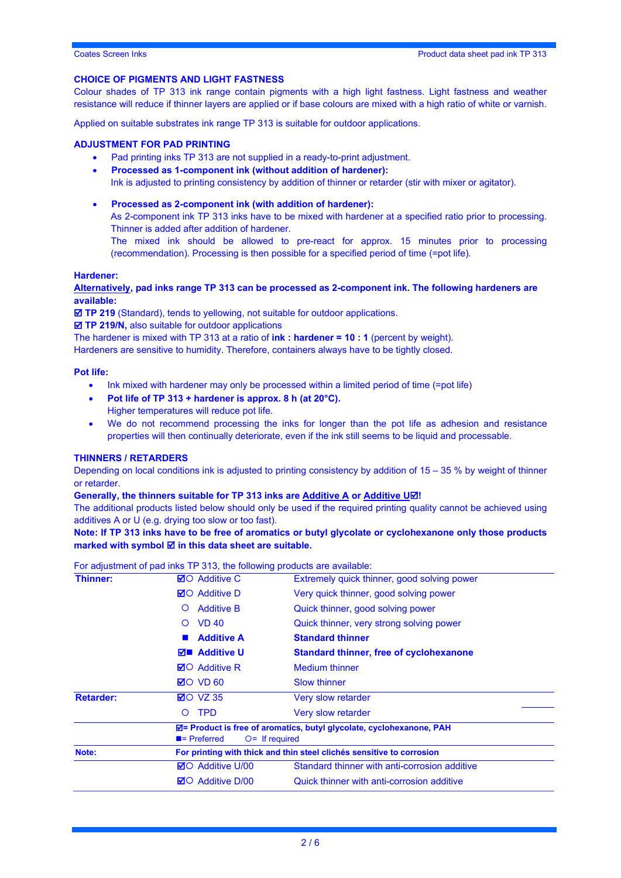# **CHOICE OF PIGMENTS AND LIGHT FASTNESS**

Colour shades of TP 313 ink range contain pigments with a high light fastness. Light fastness and weather resistance will reduce if thinner layers are applied or if base colours are mixed with a high ratio of white or varnish.

Applied on suitable substrates ink range TP 313 is suitable for outdoor applications.

#### **ADJUSTMENT FOR PAD PRINTING**

- Pad printing inks TP 313 are not supplied in a ready-to-print adjustment.
- **Processed as 1-component ink (without addition of hardener):**

Ink is adjusted to printing consistency by addition of thinner or retarder (stir with mixer or agitator).

• **Processed as 2-component ink (with addition of hardener):** As 2-component ink TP 313 inks have to be mixed with hardener at a specified ratio prior to processing. Thinner is added after addition of hardener.

The mixed ink should be allowed to pre-react for approx. 15 minutes prior to processing (recommendation). Processing is then possible for a specified period of time (=pot life).

#### **Hardener:**

**Alternatively, pad inks range TP 313 can be processed as 2-component ink. The following hardeners are available:**

**TP 219** (Standard), tends to yellowing, not suitable for outdoor applications.

**TP 219/N,** also suitable for outdoor applications

The hardener is mixed with TP 313 at a ratio of **ink : hardener = 10 : 1** (percent by weight).

Hardeners are sensitive to humidity. Therefore, containers always have to be tightly closed.

# **Pot life:**

- Ink mixed with hardener may only be processed within a limited period of time (=pot life)
- **Pot life of TP 313 + hardener is approx. 8 h (at 20°C).** Higher temperatures will reduce pot life.
- We do not recommend processing the inks for longer than the pot life as adhesion and resistance properties will then continually deteriorate, even if the ink still seems to be liquid and processable.

# **THINNERS / RETARDERS**

Depending on local conditions ink is adjusted to printing consistency by addition of 15 – 35 % by weight of thinner or retarder.

# **Generally, the thinners suitable for TP 313 inks are Additive A or Additive U!**

The additional products listed below should only be used if the required printing quality cannot be achieved using additives A or U (e.g. drying too slow or too fast).

**Note: If TP 313 inks have to be free of aromatics or butyl glycolate or cyclohexanone only those products marked with symbol in this data sheet are suitable.**

For adjustment of pad inks TP 313, the following products are available:

| Thinner:         | <b>⊠</b> O Additive C                        | Extremely quick thinner, good solving power                           |
|------------------|----------------------------------------------|-----------------------------------------------------------------------|
|                  | <b>⊠</b> O Additive D                        | Very quick thinner, good solving power                                |
|                  | <b>Additive B</b><br>$\circ$                 | Quick thinner, good solving power                                     |
|                  | <b>VD 40</b><br>$\Omega$                     | Quick thinner, very strong solving power                              |
|                  | <b>Additive A</b>                            | <b>Standard thinner</b>                                               |
|                  | $\nabla$ <b>E</b> Additive U                 | <b>Standard thinner, free of cyclohexanone</b>                        |
|                  | <b>⊠</b> O Additive R                        | <b>Medium thinner</b>                                                 |
|                  | $\boxtimes$ O VD 60                          | Slow thinner                                                          |
| <b>Retarder:</b> | $\boxtimes$ O VZ 35                          | Very slow retarder                                                    |
|                  | <b>TPD</b><br>$\Omega$                       | Very slow retarder                                                    |
|                  | $\blacksquare$ Preferred<br>$O=$ If required | ⊠= Product is free of aromatics, butyl glycolate, cyclohexanone, PAH  |
| Note:            |                                              | For printing with thick and thin steel clichés sensitive to corrosion |
|                  | <b>Ø</b> ○ Additive U/00                     | Standard thinner with anti-corrosion additive                         |
|                  | <b>⊠O</b> Additive D/00                      | Quick thinner with anti-corrosion additive                            |
|                  |                                              |                                                                       |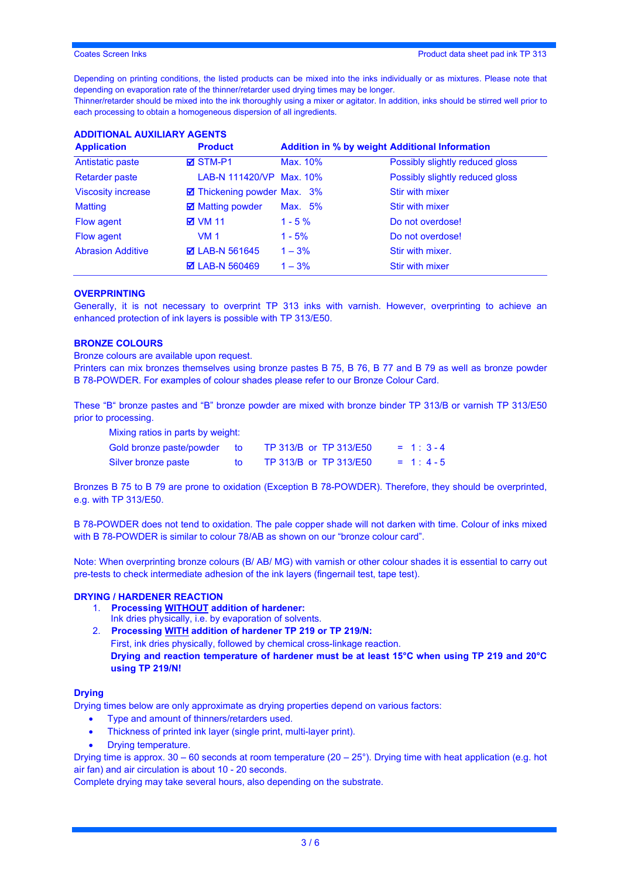Depending on printing conditions, the listed products can be mixed into the inks individually or as mixtures. Please note that depending on evaporation rate of the thinner/retarder used drying times may be longer.

Thinner/retarder should be mixed into the ink thoroughly using a mixer or agitator. In addition, inks should be stirred well prior to each processing to obtain a homogeneous dispersion of all ingredients.

| <b>Application</b>        | <b>Product</b>              |          | <b>Addition in % by weight Additional Information</b> |
|---------------------------|-----------------------------|----------|-------------------------------------------------------|
| Antistatic paste          | <b>Ø</b> STM-P1             | Max. 10% | Possibly slightly reduced gloss                       |
| <b>Retarder paste</b>     | LAB-N 111420/VP Max. 10%    |          | Possibly slightly reduced gloss                       |
| <b>Viscosity increase</b> | ◘ Thickening powder Max. 3% |          | Stir with mixer                                       |
| <b>Matting</b>            | <b>☑</b> Matting powder     | Max. 5%  | <b>Stir with mixer</b>                                |
| Flow agent                | <b>⊠</b> VM 11              | $1 - 5%$ | Do not overdose!                                      |
| Flow agent                | <b>VM 1</b>                 | $1 - 5%$ | Do not overdose!                                      |
| <b>Abrasion Additive</b>  | <b>Ø</b> LAB-N 561645       | $1 - 3%$ | Stir with mixer.                                      |
|                           | <b>Ø</b> LAB-N 560469       | $1 - 3%$ | Stir with mixer                                       |

# **ADDITIONAL AUXILIARY AGENTS**

# **OVERPRINTING**

Generally, it is not necessary to overprint TP 313 inks with varnish. However, overprinting to achieve an enhanced protection of ink layers is possible with TP 313/E50.

# **BRONZE COLOURS**

Bronze colours are available upon request.

Printers can mix bronzes themselves using bronze pastes B 75, B 76, B 77 and B 79 as well as bronze powder B 78-POWDER. For examples of colour shades please refer to our Bronze Colour Card.

These "B" bronze pastes and "B" bronze powder are mixed with bronze binder TP 313/B or varnish TP 313/E50 prior to processing.

Mixing ratios in parts by weight:

| Gold bronze paste/powder | TP 313/B or TP 313/E50 | $= 1:3 - 4$ |
|--------------------------|------------------------|-------------|
| Silver bronze paste      | TP 313/B or TP 313/E50 | $= 1: 4-5$  |

Bronzes B 75 to B 79 are prone to oxidation (Exception B 78-POWDER). Therefore, they should be overprinted, e.g. with TP 313/E50.

B 78-POWDER does not tend to oxidation. The pale copper shade will not darken with time. Colour of inks mixed with B 78-POWDER is similar to colour 78/AB as shown on our "bronze colour card".

Note: When overprinting bronze colours (B/ AB/ MG) with varnish or other colour shades it is essential to carry out pre-tests to check intermediate adhesion of the ink layers (fingernail test, tape test).

# **DRYING / HARDENER REACTION**

- 1. **Processing WITHOUT addition of hardener:**
- Ink dries physically, i.e. by evaporation of solvents.
- 2. **Processing WITH addition of hardener TP 219 or TP 219/N:** First, ink dries physically, followed by chemical cross-linkage reaction. **Drying and reaction temperature of hardener must be at least 15°C when using TP 219 and 20°C using TP 219/N!**

# **Drying**

Drying times below are only approximate as drying properties depend on various factors:

- Type and amount of thinners/retarders used.
- Thickness of printed ink layer (single print, multi-layer print).
- Drying temperature.

Drying time is approx.  $30 - 60$  seconds at room temperature  $(20 - 25^{\circ})$ . Drying time with heat application (e.g. hot air fan) and air circulation is about 10 - 20 seconds.

Complete drying may take several hours, also depending on the substrate.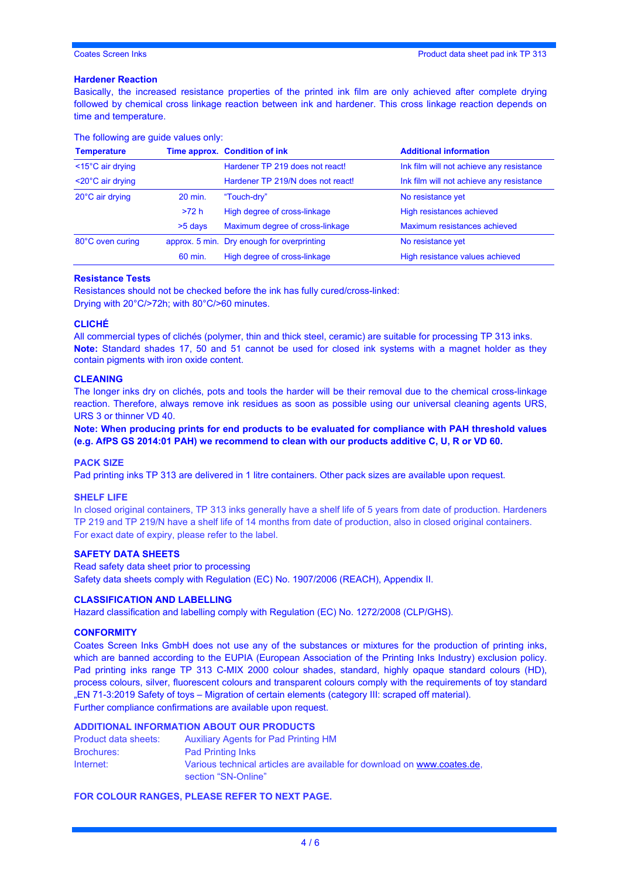# **Hardener Reaction**

Basically, the increased resistance properties of the printed ink film are only achieved after complete drying followed by chemical cross linkage reaction between ink and hardener. This cross linkage reaction depends on time and temperature.

| <b>Temperature</b>             |           | Time approx. Condition of ink              | <b>Additional information</b>            |
|--------------------------------|-----------|--------------------------------------------|------------------------------------------|
| <15°C air drying               |           | Hardener TP 219 does not react!            | Ink film will not achieve any resistance |
| $<$ 20 $^{\circ}$ C air drying |           | Hardener TP 219/N does not react!          | Ink film will not achieve any resistance |
| 20°C air drying                | 20 min.   | "Touch-dry"                                | No resistance yet                        |
|                                | >72 h     | High degree of cross-linkage               | High resistances achieved                |
|                                | $>5$ days | Maximum degree of cross-linkage            | Maximum resistances achieved             |
| 80°C oven curing               |           | approx. 5 min. Dry enough for overprinting | No resistance yet                        |
|                                | 60 min.   | High degree of cross-linkage               | High resistance values achieved          |

#### The following are guide values only:

# **Resistance Tests**

Resistances should not be checked before the ink has fully cured/cross-linked: Drying with 20°C/>72h; with 80°C/>60 minutes.

## **CLICHÉ**

All commercial types of clichés (polymer, thin and thick steel, ceramic) are suitable for processing TP 313 inks. **Note:** Standard shades 17, 50 and 51 cannot be used for closed ink systems with a magnet holder as they contain pigments with iron oxide content.

# **CLEANING**

The longer inks dry on clichés, pots and tools the harder will be their removal due to the chemical cross-linkage reaction. Therefore, always remove ink residues as soon as possible using our universal cleaning agents URS, URS 3 or thinner VD 40.

**Note: When producing prints for end products to be evaluated for compliance with PAH threshold values (e.g. AfPS GS 2014:01 PAH) we recommend to clean with our products additive C, U, R or VD 60.** 

# **PACK SIZE**

Pad printing inks TP 313 are delivered in 1 litre containers. Other pack sizes are available upon request.

# **SHELF LIFE**

In closed original containers, TP 313 inks generally have a shelf life of 5 years from date of production. Hardeners TP 219 and TP 219/N have a shelf life of 14 months from date of production, also in closed original containers. For exact date of expiry, please refer to the label.

# **SAFETY DATA SHEETS**

Read safety data sheet prior to processing Safety data sheets comply with Regulation (EC) No. 1907/2006 (REACH), Appendix II.

# **CLASSIFICATION AND LABELLING**

Hazard classification and labelling comply with Regulation (EC) No. 1272/2008 (CLP/GHS).

# **CONFORMITY**

Coates Screen Inks GmbH does not use any of the substances or mixtures for the production of printing inks, which are banned according to the EUPIA (European Association of the Printing Inks Industry) exclusion policy. Pad printing inks range TP 313 C-MIX 2000 colour shades, standard, highly opaque standard colours (HD), process colours, silver, fluorescent colours and transparent colours comply with the requirements of toy standard "EN 71-3:2019 Safety of toys – Migration of certain elements (category III: scraped off material). Further compliance confirmations are available upon request.

# **ADDITIONAL INFORMATION ABOUT OUR PRODUCTS**

| Product data sheets: | <b>Auxiliary Agents for Pad Printing HM</b>                                                    |
|----------------------|------------------------------------------------------------------------------------------------|
| <b>Brochures:</b>    | <b>Pad Printing Inks</b>                                                                       |
| Internet:            | Various technical articles are available for download on www.coates.de.<br>section "SN-Online" |

**FOR COLOUR RANGES, PLEASE REFER TO NEXT PAGE.**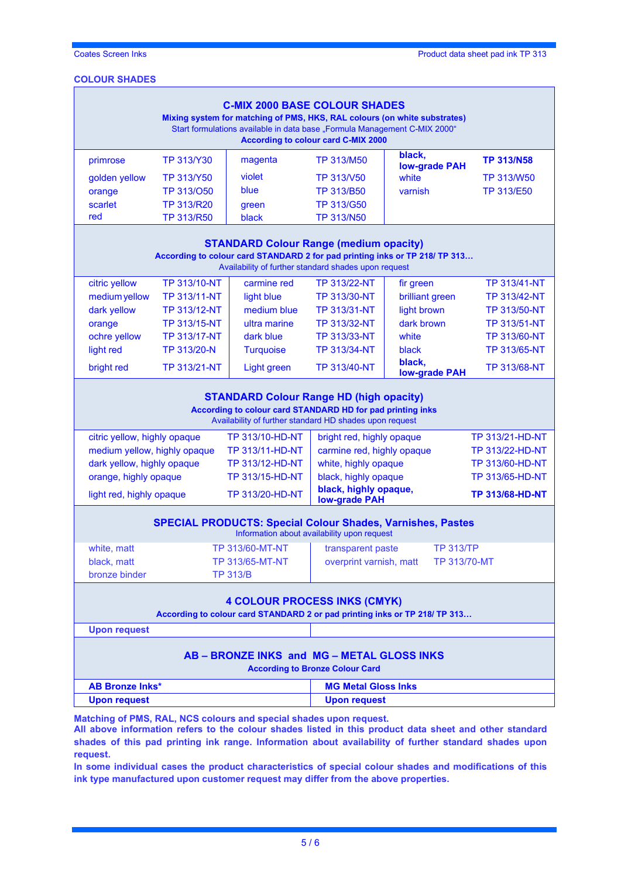# **COLOUR SHADES**

| <b>C-MIX 2000 BASE COLOUR SHADES</b><br>Mixing system for matching of PMS, HKS, RAL colours (on white substrates)<br>Start formulations available in data base "Formula Management C-MIX 2000"<br><b>According to colour card C-MIX 2000</b>                                      |                     |                  |                     |                                |                     |
|-----------------------------------------------------------------------------------------------------------------------------------------------------------------------------------------------------------------------------------------------------------------------------------|---------------------|------------------|---------------------|--------------------------------|---------------------|
| primrose                                                                                                                                                                                                                                                                          | <b>TP 313/Y30</b>   | magenta          | <b>TP 313/M50</b>   | black,<br><b>low-grade PAH</b> | <b>TP 313/N58</b>   |
| golden yellow                                                                                                                                                                                                                                                                     | <b>TP 313/Y50</b>   | violet           | TP 313/V50          | white                          | <b>TP 313/W50</b>   |
| orange                                                                                                                                                                                                                                                                            | TP 313/050          | blue             | <b>TP 313/B50</b>   | varnish                        | <b>TP 313/E50</b>   |
| scarlet                                                                                                                                                                                                                                                                           | <b>TP 313/R20</b>   | green            | <b>TP 313/G50</b>   |                                |                     |
| red                                                                                                                                                                                                                                                                               | TP 313/R50          | black            | <b>TP 313/N50</b>   |                                |                     |
| <b>STANDARD Colour Range (medium opacity)</b><br>According to colour card STANDARD 2 for pad printing inks or TP 218/ TP 313<br>Availability of further standard shades upon request                                                                                              |                     |                  |                     |                                |                     |
| citric yellow                                                                                                                                                                                                                                                                     | <b>TP 313/10-NT</b> | carmine red      | TP 313/22-NT        | fir green                      | <b>TP 313/41-NT</b> |
| medium yellow                                                                                                                                                                                                                                                                     | <b>TP 313/11-NT</b> | light blue       | <b>TP 313/30-NT</b> | brilliant green                | <b>TP 313/42-NT</b> |
| dark yellow                                                                                                                                                                                                                                                                       | <b>TP 313/12-NT</b> | medium blue      | <b>TP 313/31-NT</b> | light brown                    | TP 313/50-NT        |
| orange                                                                                                                                                                                                                                                                            | <b>TP 313/15-NT</b> | ultra marine     | <b>TP 313/32-NT</b> | dark brown                     | <b>TP 313/51-NT</b> |
| ochre yellow                                                                                                                                                                                                                                                                      | <b>TP 313/17-NT</b> | dark blue        | TP 313/33-NT        | white                          | TP 313/60-NT        |
| light red                                                                                                                                                                                                                                                                         | TP 313/20-N         | <b>Turquoise</b> | TP 313/34-NT        | black                          | <b>TP 313/65-NT</b> |
| bright red                                                                                                                                                                                                                                                                        | <b>TP 313/21-NT</b> | Light green      | <b>TP 313/40-NT</b> | black,<br><b>low-grade PAH</b> | <b>TP 313/68-NT</b> |
| <b>STANDARD Colour Range HD (high opacity)</b><br>According to colour card STANDARD HD for pad printing inks<br>Availability of further standard HD shades upon request<br>citric yellow, highly opaque<br>TP 313/10-HD-NT<br><b>TP 313/21-HD-NT</b><br>bright red, highly opaque |                     |                  |                     |                                |                     |

| TP 313/10-HD-NT | bright red, highly opaque                     | <b>TP 313/21-HD-NT</b> |
|-----------------|-----------------------------------------------|------------------------|
| TP 313/11-HD-NT | carmine red, highly opaque                    | <b>TP 313/22-HD-NT</b> |
| TP 313/12-HD-NT | white, highly opaque                          | <b>TP 313/60-HD-NT</b> |
| TP 313/15-HD-NT | black, highly opaque                          | <b>TP 313/65-HD-NT</b> |
| TP 313/20-HD-NT | black, highly opaque,<br><b>low-grade PAH</b> | <b>TP 313/68-HD-NT</b> |
|                 |                                               |                        |

| <b>SPECIAL PRODUCTS: Special Colour Shades, Varnishes, Pastes</b> |  |
|-------------------------------------------------------------------|--|
| <b>Information about availability upon request</b>                |  |

|               |                        | mondaton about a randomity apon roquoot |                  |
|---------------|------------------------|-----------------------------------------|------------------|
| white, matt   | <b>TP 313/60-MT-NT</b> | transparent paste                       | <b>TP 313/TP</b> |
| black, matt   | <b>TP 313/65-MT-NT</b> | overprint varnish, matt                 | TP 313/70-MT     |
| bronze binder | <b>TP 313/B</b>        |                                         |                  |
|               |                        |                                         |                  |

# **4 COLOUR PROCESS INKS (CMYK)**

**According to colour card STANDARD 2 or pad printing inks or TP 218/ TP 313…**

**Upon request**

# **AB – BRONZE INKS and MG – METAL GLOSS INKS**

**According to Bronze Colour Card**

| <b>AB Bronze Inks*</b> | <b>MG Metal Gloss Inks</b> |
|------------------------|----------------------------|
| Upon request           | Upon request               |

**Matching of PMS, RAL, NCS colours and special shades upon request.**

**All above information refers to the colour shades listed in this product data sheet and other standard shades of this pad printing ink range. Information about availability of further standard shades upon request.** 

**In some individual cases the product characteristics of special colour shades and modifications of this ink type manufactured upon customer request may differ from the above properties.**